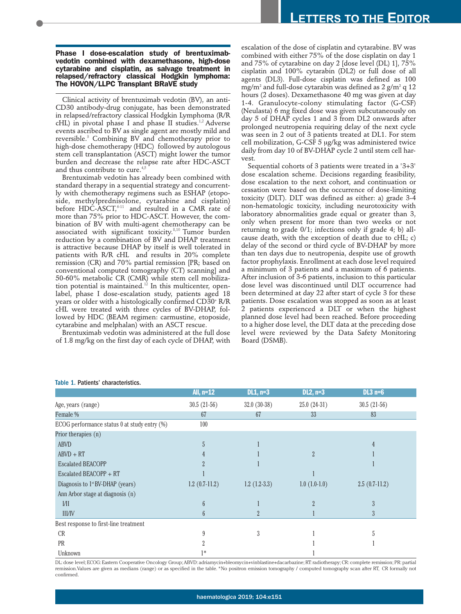## **Phase I dose-escalation study of brentuximabvedotin combined with dexamethasone, high-dose cytarabine and cisplatin, as salvage treatment in relapsed/refractory classical Hodgkin lymphoma: The HOVON/LLPC Transplant BRaVE study**

Clinical activity of brentuximab vedotin (BV), an anti-CD30 antibody-drug conjugate, has been demonstrated in relapsed/refractory classical Hodgkin Lymphoma (R/R cHL) in pivotal phase I and phase II studies.<sup>1,2</sup> Adverse events ascribed to BV as single agent are mostly mild and reversible.<sup>3</sup> Combining BV and chemotherapy prior to high-dose chemotherapy (HDC) followed by autologous stem cell transplantation (ASCT) might lower the tumor burden and decrease the relapse rate after HDC-ASCT and thus contribute to cure.<sup>4,5</sup>

Brentuximab vedotin has already been combined with standard therapy in a sequential strategy and concurrently with chemotherapy regimens such as ESHAP (etoposide, methylprednisolone, cytarabine and cisplatin) before HDC-ASCT, $6-11$  and resulted in a CMR rate of more than 75% prior to HDC-ASCT. However, the combination of BV with multi-agent chemotherapy can be associated with significant toxicity.<sup>8,10</sup> Tumor burden reduction by a combination of BV and DHAP treatment is attractive because DHAP by itself is well tolerated in patients with R/R cHL and results in 20% complete remission (CR) and 70% partial remission [PR; based on conventional computed tomography (CT) scanning] and 50-60% metabolic CR (CMR) while stem cell mobilization potential is maintained.<sup>12</sup> In this multicenter, openlabel, phase I dose-escalation study, patients aged 18 years or older with a histologically confirmed CD30+ R/R cHL were treated with three cycles of BV-DHAP, followed by HDC (BEAM regimen: carmustine, etoposide, cytarabine and melphalan) with an ASCT rescue.

Brentuximab vedotin was administered at the full dose of 1.8 mg/kg on the first day of each cycle of DHAP, with escalation of the dose of cisplatin and cytarabine. BV was combined with either 75% of the dose cisplatin on day 1 and 75% of cytarabine on day 2 [dose level (DL) 1], 75% cisplatin and 100% cytarabin (DL2) or full dose of all agents (DL3). Full-dose cisplatin was defined as 100 mg/m<sup>2</sup> and full-dose cytarabin was defined as  $2$  g/m<sup>2</sup> q  $12$ hours (2 doses). Dexamethasone 40 mg was given at day 1-4. Granulocyte-colony stimulating factor (G-CSF) (Neulasta) 6 mg fixed dose was given subcutaneously on day 5 of DHAP cycles 1 and 3 from DL2 onwards after prolonged neutropenia requiring delay of the next cycle was seen in 2 out of 3 patients treated at DL1. For stem cell mobilization, G-CSF 5 µg/kg was administered twice daily from day 10 of BV-DHAP cycle 2 until stem cell harvest.

Sequential cohorts of 3 patients were treated in a '3+3' dose escalation scheme. Decisions regarding feasibility, dose escalation to the next cohort, and continuation or cessation were based on the occurrence of dose-limiting toxicity (DLT). DLT was defined as either: a) grade 3-4 non-hematologic toxicity, including neurotoxicity with laboratory abnormalities grade equal or greater than 3, only when present for more than two weeks or not returning to grade 0/1; infections only if grade 4; b) allcause death, with the exception of death due to cHL; c) delay of the second or third cycle of BV-DHAP by more than ten days due to neutropenia, despite use of growth factor prophylaxis. Enrollment at each dose level required a minimum of 3 patients and a maximum of 6 patients. After inclusion of 3-6 patients, inclusion to this particular dose level was discontinued until DLT occurrence had been determined at day 22 after start of cycle 3 for these patients. Dose escalation was stopped as soon as at least 2 patients experienced a DLT or when the highest planned dose level had been reached. Before proceeding to a higher dose level, the DLT data at the preceding dose level were reviewed by the Data Safety Monitoring Board (DSMB).

|                                              | All, $n=12$     | $DL1, n=3$     | $DL2, n=3$                | $DL3$ n=6       |
|----------------------------------------------|-----------------|----------------|---------------------------|-----------------|
| Age, years (range)                           | $30.5(21-56)$   | $32.0(30-38)$  | $25.0(24-31)$             | $30.5(21-56)$   |
| Female %                                     | 67              | 67             | 33                        | 83              |
| ECOG performance status 0 at study entry (%) | 100             |                |                           |                 |
| Prior therapies (n)                          |                 |                |                           |                 |
| <b>ABVD</b>                                  | 5               |                |                           |                 |
| $ABVD + RT$                                  |                 |                | $\overline{\mathfrak{Z}}$ |                 |
| <b>Escalated BEACOPP</b>                     |                 |                |                           |                 |
| Escalated BEACOPP + RT                       |                 |                |                           |                 |
| Diagnosis to 1 <sup>st</sup> BV-DHAP (years) | $1.2(0.7-11.2)$ | $1.2(1.2-3.3)$ | $1.0(1.0-1.0)$            | $2.5(0.7-11.2)$ |
| Ann Arbor stage at diagnosis (n)             |                 |                |                           |                 |
| $I/\Pi$                                      | 6               |                | $\overline{2}$            |                 |
| <b>III/IV</b>                                | 6               | $\overline{2}$ |                           | 3               |
| Best response to first-line treatment        |                 |                |                           |                 |
| <b>CR</b>                                    |                 | 3              |                           | ה.              |
| <b>PR</b>                                    |                 |                |                           |                 |
| Unknown                                      | $1*$            |                |                           |                 |

## Table 1. Patients' characteristics.

DL: dose level; ECOG: Eastern Cooperative Oncology Group; ABVD: adriamycin+bleomycin+vinblastine+dacarbazine; RT: radiotherapy; CR: complete remission; PR: partial remission.Values are given as medians (range) or as specified in the table. \*No positron emission tomography / computed tomography scan after RT, CR formally not confirmed.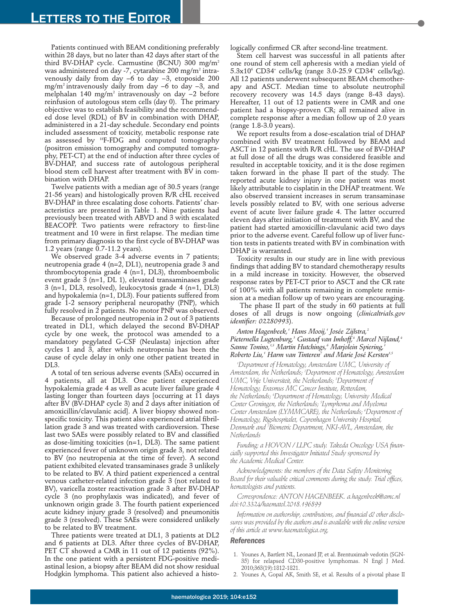Patients continued with BEAM conditioning preferably within 28 days, but no later than 42 days after start of the third BV-DHAP cycle. Carmustine (BCNU) 300 mg/m2 was administered on day -7, cytarabine 200 mg/m<sup>2</sup> intravenously daily from day −6 to day −3, etoposide 200 mg/m2 intravenously daily from day −6 to day −3, and melphalan 140 mg/m2 intravenously on day −2 before reinfusion of autologous stem cells (day 0). The primary objective was to establish feasibility and the recommended dose level (RDL) of BV in combination with DHAP, administered in a 21-day schedule. Secondary end points included assessment of toxicity, metabolic response rate as assessed by 18F-FDG and computed tomography (positron emission tomography and computed tomography, PET-CT) at the end of induction after three cycles of BV-DHAP, and success rate of autologous peripheral blood stem cell harvest after treatment with BV in combination with DHAP.

Twelve patients with a median age of 30.5 years (range 21-56 years) and histologically proven R/R cHL received BV-DHAP in three escalating dose cohorts. Patients' characteristics are presented in Table 1. Nine patients had previously been treated with ABVD and 3 with escalated BEACOPP. Two patients were refractory to first-line treatment and 10 were in first relapse. The median time from primary diagnosis to the first cycle of BV-DHAP was 1.2 years (range 0.7-11.2 years).

We observed grade 3-4 adverse events in 7 patients; neutropenia grade 4 (n=2, DL1), neutropenia grade 3 and thrombocytopenia grade 4 (n=1, DL3), thromboembolic event grade 3 (n=1, DL 1), elevated transaminases grade 3 (n=1, DL3, resolved), leukocytosis grade 4 (n=1, DL3) and hypokalemia (n=1, DL3). Four patients suffered from grade 1-2 sensory peripheral neuropathy (PNP), which fully resolved in 2 patients. No motor PNP was observed.

Because of prolonged neutropenia in 2 out of 3 patients treated in DL1, which delayed the second BV-DHAP cycle by one week, the protocol was amended to a mandatory pegylated G-CSF (Neulasta) injection after cycles 1 and 3, after which neutropenia has been the cause of cycle delay in only one other patient treated in DL3.

A total of ten serious adverse events (SAEs) occurred in 4 patients, all at DL3. One patient experienced hypokalemia grade 4 as well as acute liver failure grade 4 lasting longer than fourteen days [occurring at 11 days after BV (BV-DHAP cycle 3) and 2 days after initiation of amoxicillin/clavulanic acid]. A liver biopsy showed nonspecific toxicity. This patient also experienced atrial fibrillation grade 3 and was treated with cardioversion. These last two SAEs were possibly related to BV and classified as dose-limiting toxicities (n=1, DL3). The same patient experienced fever of unknown origin grade 3, not related to BV (no neutropenia at the time of fever). A second patient exhibited elevated transaminases grade 3 unlikely to be related to BV. A third patient experienced a central venous catheter-related infection grade 3 (not related to BV), varicella zoster reactivation grade 3 after BV-DHAP cycle 3 (no prophylaxis was indicated), and fever of unknown origin grade 3. The fourth patient experienced acute kidney injury grade 3 (resolved) and pneumonitis grade 3 (resolved). These SAEs were considered unlikely to be related to BV treatment.

Three patients were treated at DL1, 3 patients at DL2 and 6 patients at DL3. After three cycles of BV-DHAP, PET CT showed a CMR in 11 out of 12 patients (92%). In the one patient with a persistent FDG-positive mediastinal lesion, a biopsy after BEAM did not show residual Hodgkin lymphoma. This patient also achieved a histologically confirmed CR after second-line treatment.

Stem cell harvest was successful in all patients after one round of stem cell apheresis with a median yield of 5.3x106 CD34+ cells/kg (range 3.0-25.9 CD34+ cells/kg). All 12 patients underwent subsequent BEAM chemotherapy and ASCT. Median time to absolute neutrophil recovery recovery was 14.5 days (range 8-43 days). Hereafter, 11 out of 12 patients were in CMR and one patient had a biopsy-proven CR; all remained alive in complete response after a median follow up of 2.0 years (range 1.8-3.0 years).

We report results from a dose-escalation trial of DHAP combined with BV treatment followed by BEAM and ASCT in 12 patients with R/R cHL. The use of BV-DHAP at full dose of all the drugs was considered feasible and resulted in acceptable toxicity, and it is the dose regimen taken forward in the phase II part of the study. The reported acute kidney injury in one patient was most likely attributable to cisplatin in the DHAP treatment. We also observed transient increases in serum transaminase levels possibly related to BV, with one serious adverse event of acute liver failure grade 4. The latter occurred eleven days after initiation of treatment with BV, and the patient had started amoxicillin-clavulanic acid two days prior to the adverse event. Careful follow up of liver function tests in patients treated with BV in combination with DHAP is warranted.

Toxicity results in our study are in line with previous findings that adding BV to standard chemotherapy results in a mild increase in toxicity. However, the observed response rates by PET-CT prior to ASCT and the CR rate of 100% with all patients remaining in complete remission at a median follow up of two years are encouraging.

The phase II part of the study in 60 patients at full doses of all drugs is now ongoing (*clinicaltrials.gov identifier: 02280993*).

*Anton Hagenbeek,1 Hans Mooij,1 Josée Zijlstra,2 Pieternella Lugtenburg,3 Gustaaf van Imhoff,4 Marcel Nijland,4* Sanne Tonino,<sup>4,5</sup> Martin Hutchings,<sup>6</sup> Marjolein Spiering, *Roberto Liu,1 Harm van Tinteren7 and Marie José Kersten1,5*

*1 Department of Hematology, Amsterdam UMC, University of Amsterdam, the Netherlands; 2 Department of Hematology, Amsterdam UMC, Vrije Universiteit, the Netherlands; 3 Department of Hematology, Erasmus MC Cancer Institute, Rotterdam, the Netherlands; 4 Department of Hematology, University Medical Center Groningen, the Netherlands; 5 Lymphoma and Myeloma Center Amsterdam (LYMMCARE), the Netherlands; 6 Department of Hematology, Rigshospitalet, Copenhagen University Hospital, Denmark and 7 Biometric Department, NKI-AVL, Amsterdam, the Netherlands*

*Funding: a HOVON / LLPC study. Takeda Oncology USA financially supported this Investigator Initiated Study sponsored by the Academic Medical Center.*

*Acknowledgments: the members of the Data Safety Monitoring Board for their valuable critical comments during the study. Trial offices, hematologists and patients.*

*Correspondence: ANTON HAGENBEEK. a.hagenbeek@amc.nl doi:10.3324/haematol.2018.196899*

*Information on authorship, contributions, and financial & other disclosures was provided by the authors and is available with the online version of this article at www.haematologica.org.*

## *References*

- Younes A, Bartlett NL, Leonard JP, et al. Brentuximab vedotin (SGN-35) for relapsed CD30-positive lymphomas. N Engl J Med. 2010;363(19):1812-1821.
- 2. Younes A, Gopal AK, Smith SE, et al. Results of a pivotal phase II